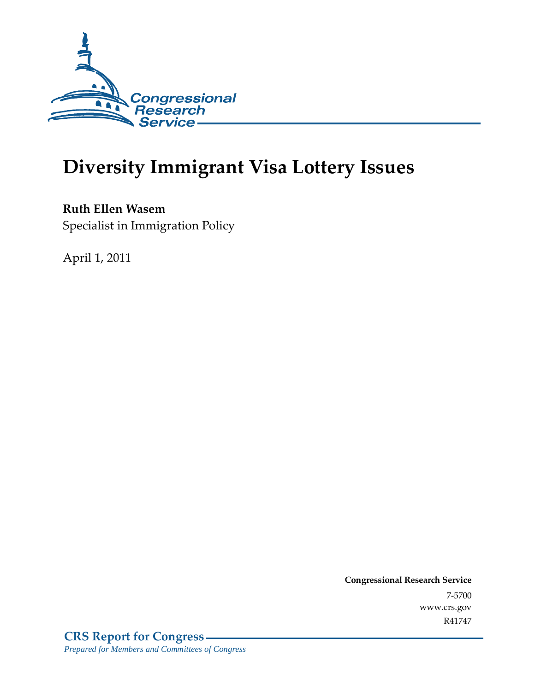

# **Diversity Immigrant Visa Lottery Issues**

**Ruth Ellen Wasem**  Specialist in Immigration Policy

April 1, 2011

**Congressional Research Service** 7-5700 www.crs.gov R41747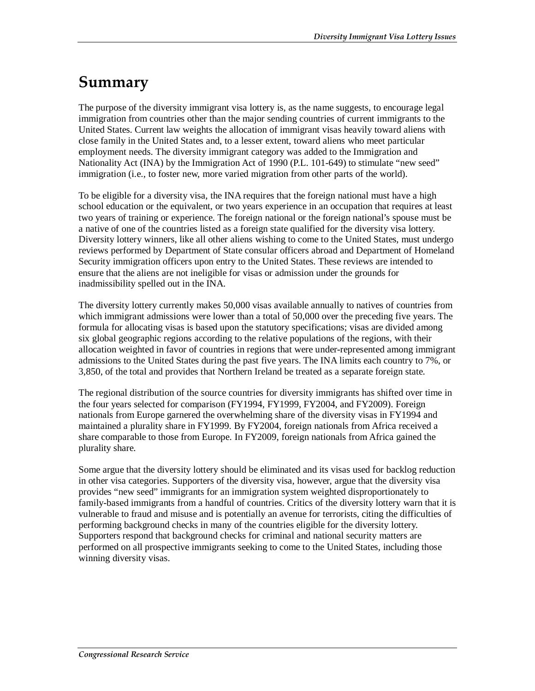## **Summary**

The purpose of the diversity immigrant visa lottery is, as the name suggests, to encourage legal immigration from countries other than the major sending countries of current immigrants to the United States. Current law weights the allocation of immigrant visas heavily toward aliens with close family in the United States and, to a lesser extent, toward aliens who meet particular employment needs. The diversity immigrant category was added to the Immigration and Nationality Act (INA) by the Immigration Act of 1990 (P.L. 101-649) to stimulate "new seed" immigration (i.e., to foster new, more varied migration from other parts of the world).

To be eligible for a diversity visa, the INA requires that the foreign national must have a high school education or the equivalent, or two years experience in an occupation that requires at least two years of training or experience. The foreign national or the foreign national's spouse must be a native of one of the countries listed as a foreign state qualified for the diversity visa lottery. Diversity lottery winners, like all other aliens wishing to come to the United States, must undergo reviews performed by Department of State consular officers abroad and Department of Homeland Security immigration officers upon entry to the United States. These reviews are intended to ensure that the aliens are not ineligible for visas or admission under the grounds for inadmissibility spelled out in the INA.

The diversity lottery currently makes 50,000 visas available annually to natives of countries from which immigrant admissions were lower than a total of 50,000 over the preceding five years. The formula for allocating visas is based upon the statutory specifications; visas are divided among six global geographic regions according to the relative populations of the regions, with their allocation weighted in favor of countries in regions that were under-represented among immigrant admissions to the United States during the past five years. The INA limits each country to 7%, or 3,850, of the total and provides that Northern Ireland be treated as a separate foreign state.

The regional distribution of the source countries for diversity immigrants has shifted over time in the four years selected for comparison (FY1994, FY1999, FY2004, and FY2009). Foreign nationals from Europe garnered the overwhelming share of the diversity visas in FY1994 and maintained a plurality share in FY1999. By FY2004, foreign nationals from Africa received a share comparable to those from Europe. In FY2009, foreign nationals from Africa gained the plurality share.

Some argue that the diversity lottery should be eliminated and its visas used for backlog reduction in other visa categories. Supporters of the diversity visa, however, argue that the diversity visa provides "new seed" immigrants for an immigration system weighted disproportionately to family-based immigrants from a handful of countries. Critics of the diversity lottery warn that it is vulnerable to fraud and misuse and is potentially an avenue for terrorists, citing the difficulties of performing background checks in many of the countries eligible for the diversity lottery. Supporters respond that background checks for criminal and national security matters are performed on all prospective immigrants seeking to come to the United States, including those winning diversity visas.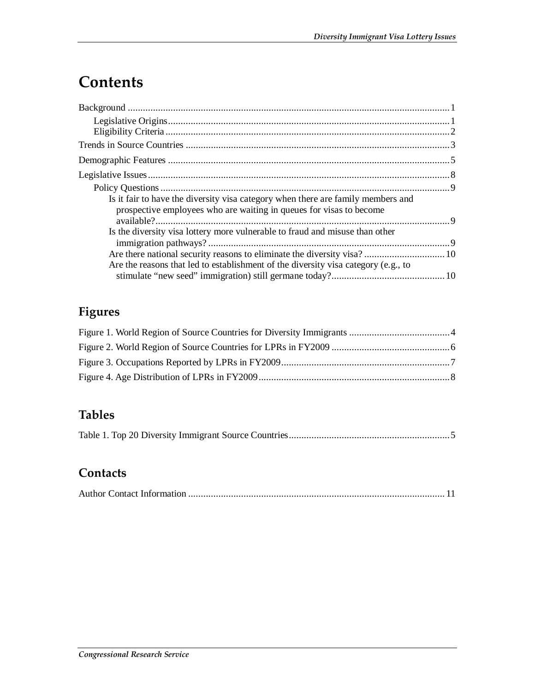## **Contents**

| Is it fair to have the diversity visa category when there are family members and<br>prospective employees who are waiting in queues for visas to become |  |
|---------------------------------------------------------------------------------------------------------------------------------------------------------|--|
| Is the diversity visa lottery more vulnerable to fraud and misuse than other                                                                            |  |
| Are the reasons that led to establishment of the diversity visa category (e.g., to                                                                      |  |
|                                                                                                                                                         |  |

## **Figures**

## **Tables**

|--|--|--|--|--|

### **Contacts**

|--|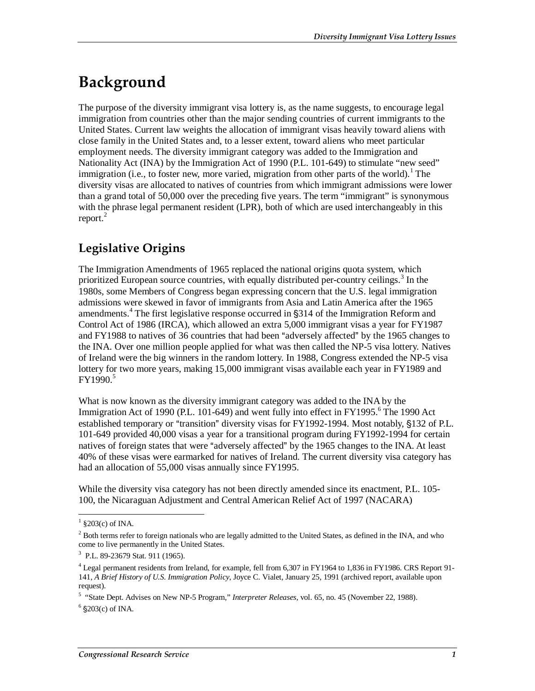# **Background**

The purpose of the diversity immigrant visa lottery is, as the name suggests, to encourage legal immigration from countries other than the major sending countries of current immigrants to the United States. Current law weights the allocation of immigrant visas heavily toward aliens with close family in the United States and, to a lesser extent, toward aliens who meet particular employment needs. The diversity immigrant category was added to the Immigration and Nationality Act (INA) by the Immigration Act of 1990 (P.L. 101-649) to stimulate "new seed" immigration (i.e., to foster new, more varied, migration from other parts of the world).<sup>1</sup> The diversity visas are allocated to natives of countries from which immigrant admissions were lower than a grand total of 50,000 over the preceding five years. The term "immigrant" is synonymous with the phrase legal permanent resident (LPR), both of which are used interchangeably in this report. $^{2}$ 

### **Legislative Origins**

The Immigration Amendments of 1965 replaced the national origins quota system, which prioritized European source countries, with equally distributed per-country ceilings.<sup>3</sup> In the 1980s, some Members of Congress began expressing concern that the U.S. legal immigration admissions were skewed in favor of immigrants from Asia and Latin America after the 1965 amendments.<sup>4</sup> The first legislative response occurred in §314 of the Immigration Reform and Control Act of 1986 (IRCA), which allowed an extra 5,000 immigrant visas a year for FY1987 and FY1988 to natives of 36 countries that had been "adversely affected" by the 1965 changes to the INA. Over one million people applied for what was then called the NP-5 visa lottery. Natives of Ireland were the big winners in the random lottery. In 1988, Congress extended the NP-5 visa lottery for two more years, making 15,000 immigrant visas available each year in FY1989 and  $FY1990.<sup>5</sup>$ 

What is now known as the diversity immigrant category was added to the INA by the Immigration Act of 1990 (P.L. 101-649) and went fully into effect in FY1995.<sup>6</sup> The 1990 Act established temporary or "transition" diversity visas for FY1992-1994. Most notably, §132 of P.L. 101-649 provided 40,000 visas a year for a transitional program during FY1992-1994 for certain natives of foreign states that were "adversely affected" by the 1965 changes to the INA. At least 40% of these visas were earmarked for natives of Ireland. The current diversity visa category has had an allocation of 55,000 visas annually since FY1995.

While the diversity visa category has not been directly amended since its enactment, P.L. 105- 100, the Nicaraguan Adjustment and Central American Relief Act of 1997 (NACARA)

 $\frac{1}{\sqrt{203(c)}}$  of INA.

 $2$  Both terms refer to foreign nationals who are legally admitted to the United States, as defined in the INA, and who come to live permanently in the United States.

<sup>3</sup> P.L. 89-23679 Stat. 911 (1965).

<sup>&</sup>lt;sup>4</sup> Legal permanent residents from Ireland, for example, fell from 6,307 in FY1964 to 1,836 in FY1986. CRS Report 91-141, *A Brief History of U.S. Immigration Policy*, Joyce C. Vialet, January 25, 1991 (archived report, available upon request).

<sup>&</sup>lt;sup>5</sup> "State Dept. Advises on New NP-5 Program," *Interpreter Releases*, vol. 65, no. 45 (November 22, 1988). <sup>6</sup> \$203(c) of INA.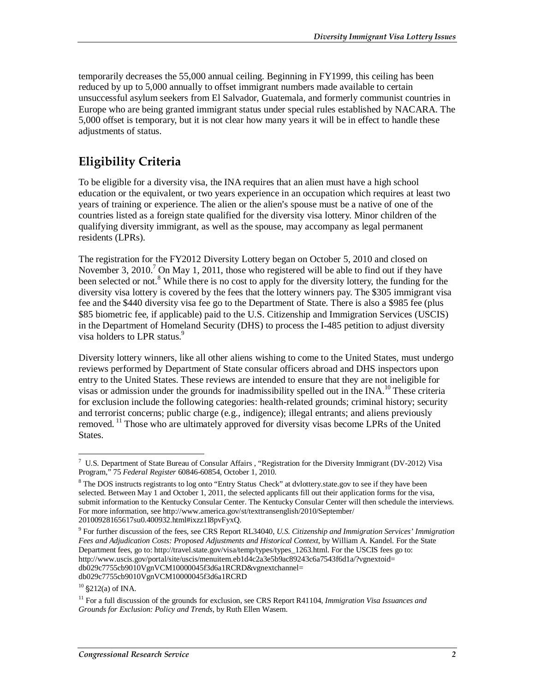temporarily decreases the 55,000 annual ceiling. Beginning in FY1999, this ceiling has been reduced by up to 5,000 annually to offset immigrant numbers made available to certain unsuccessful asylum seekers from El Salvador, Guatemala, and formerly communist countries in Europe who are being granted immigrant status under special rules established by NACARA. The 5,000 offset is temporary, but it is not clear how many years it will be in effect to handle these adjustments of status.

### **Eligibility Criteria**

To be eligible for a diversity visa, the INA requires that an alien must have a high school education or the equivalent, or two years experience in an occupation which requires at least two years of training or experience. The alien or the alien's spouse must be a native of one of the countries listed as a foreign state qualified for the diversity visa lottery. Minor children of the qualifying diversity immigrant, as well as the spouse, may accompany as legal permanent residents (LPRs).

The registration for the FY2012 Diversity Lottery began on October 5, 2010 and closed on November 3, 2010.<sup>7</sup> On May 1, 2011, those who registered will be able to find out if they have been selected or not.<sup>8</sup> While there is no cost to apply for the diversity lottery, the funding for the diversity visa lottery is covered by the fees that the lottery winners pay. The \$305 immigrant visa fee and the \$440 diversity visa fee go to the Department of State. There is also a \$985 fee (plus \$85 biometric fee, if applicable) paid to the U.S. Citizenship and Immigration Services (USCIS) in the Department of Homeland Security (DHS) to process the I-485 petition to adjust diversity visa holders to LPR status.<sup>9</sup>

Diversity lottery winners, like all other aliens wishing to come to the United States, must undergo reviews performed by Department of State consular officers abroad and DHS inspectors upon entry to the United States. These reviews are intended to ensure that they are not ineligible for visas or admission under the grounds for inadmissibility spelled out in the  $INA$ .<sup>10</sup> These criteria for exclusion include the following categories: health-related grounds; criminal history; security and terrorist concerns; public charge (e.g., indigence); illegal entrants; and aliens previously removed. <sup>11</sup> Those who are ultimately approved for diversity visas become LPRs of the United States.

<sup>-</sup><sup>7</sup> U.S. Department of State Bureau of Consular Affairs, "Registration for the Diversity Immigrant (DV-2012) Visa Program," 75 *Federal Register* 60846-60854, October 1, 2010.

<sup>&</sup>lt;sup>8</sup> The DOS instructs registrants to log onto "Entry Status Check" at dvlottery.state.gov to see if they have been selected. Between May 1 and October 1, 2011, the selected applicants fill out their application forms for the visa, submit information to the Kentucky Consular Center. The Kentucky Consular Center will then schedule the interviews. For more information, see http://www.america.gov/st/texttransenglish/2010/September/ 20100928165617su0.400932.html#ixzz1I8pvFyxQ.

<sup>9</sup> For further discussion of the fees, see CRS Report RL34040, *U.S. Citizenship and Immigration Services' Immigration Fees and Adjudication Costs: Proposed Adjustments and Historical Context*, by William A. Kandel. For the State Department fees, go to: http://travel.state.gov/visa/temp/types/types\_1263.html. For the USCIS fees go to: http://www.uscis.gov/portal/site/uscis/menuitem.eb1d4c2a3e5b9ac89243c6a7543f6d1a/?vgnextoid= db029c7755cb9010VgnVCM10000045f3d6a1RCRD&vgnextchannel= db029c7755cb9010VgnVCM10000045f3d6a1RCRD

 $10$  §212(a) of INA.

<sup>11</sup> For a full discussion of the grounds for exclusion, see CRS Report R41104, *Immigration Visa Issuances and Grounds for Exclusion: Policy and Trends*, by Ruth Ellen Wasem.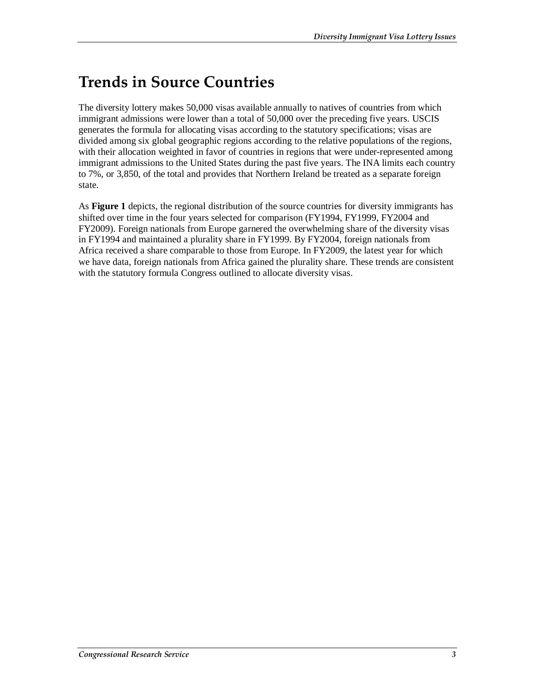## **Trends in Source Countries**

The diversity lottery makes 50,000 visas available annually to natives of countries from which immigrant admissions were lower than a total of 50,000 over the preceding five years. USCIS generates the formula for allocating visas according to the statutory specifications; visas are divided among six global geographic regions according to the relative populations of the regions, with their allocation weighted in favor of countries in regions that were under-represented among immigrant admissions to the United States during the past five years. The INA limits each country to 7%, or 3,850, of the total and provides that Northern Ireland be treated as a separate foreign state.

As **Figure 1** depicts, the regional distribution of the source countries for diversity immigrants has shifted over time in the four years selected for comparison (FY1994, FY1999, FY2004 and FY2009). Foreign nationals from Europe garnered the overwhelming share of the diversity visas in FY1994 and maintained a plurality share in FY1999. By FY2004, foreign nationals from Africa received a share comparable to those from Europe. In FY2009, the latest year for which we have data, foreign nationals from Africa gained the plurality share. These trends are consistent with the statutory formula Congress outlined to allocate diversity visas.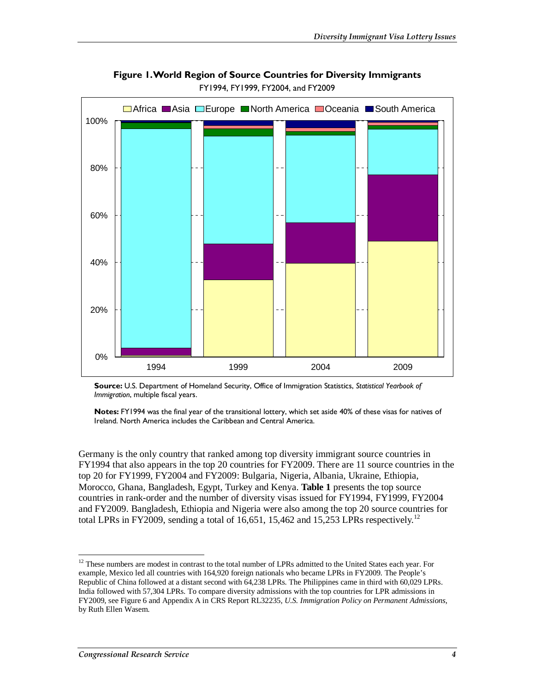

**Figure 1. World Region of Source Countries for Diversity Immigrants**  FY1994, FY1999, FY2004, and FY2009

**Source:** U.S. Department of Homeland Security, Office of Immigration Statistics, *Statistical Yearbook of Immigration*, multiple fiscal years.

**Notes:** FY1994 was the final year of the transitional lottery, which set aside 40% of these visas for natives of Ireland. North America includes the Caribbean and Central America.

Germany is the only country that ranked among top diversity immigrant source countries in FY1994 that also appears in the top 20 countries for FY2009. There are 11 source countries in the top 20 for FY1999, FY2004 and FY2009: Bulgaria, Nigeria, Albania, Ukraine, Ethiopia, Morocco, Ghana, Bangladesh, Egypt, Turkey and Kenya. **Table 1** presents the top source countries in rank-order and the number of diversity visas issued for FY1994, FY1999, FY2004 and FY2009. Bangladesh, Ethiopia and Nigeria were also among the top 20 source countries for total LPRs in FY2009, sending a total of 16,651, 15,462 and 15,253 LPRs respectively.<sup>12</sup>

<sup>-</sup><sup>12</sup> These numbers are modest in contrast to the total number of LPRs admitted to the United States each year. For example, Mexico led all countries with 164,920 foreign nationals who became LPRs in FY2009. The People's Republic of China followed at a distant second with 64,238 LPRs. The Philippines came in third with 60,029 LPRs. India followed with 57,304 LPRs. To compare diversity admissions with the top countries for LPR admissions in FY2009, see Figure 6 and Appendix A in CRS Report RL32235, *U.S. Immigration Policy on Permanent Admissions*, by Ruth Ellen Wasem.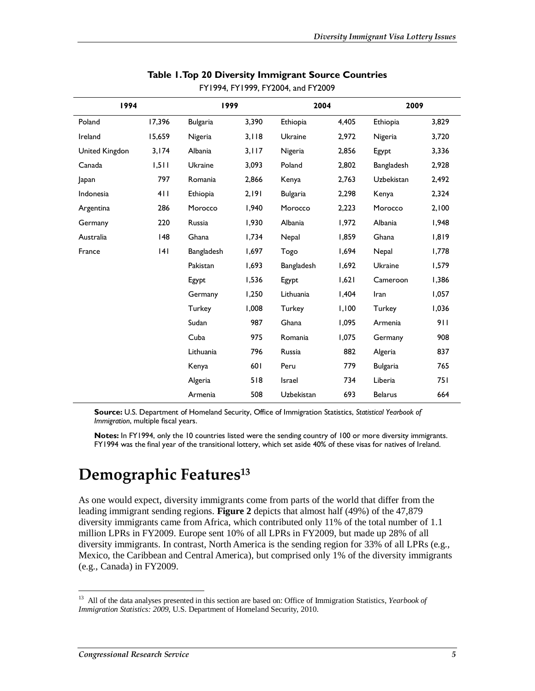| 1994           |        | 1999            |       | 2004            |       | 2009              |       |
|----------------|--------|-----------------|-------|-----------------|-------|-------------------|-------|
| Poland         | 17,396 | <b>Bulgaria</b> | 3,390 | Ethiopia        | 4,405 | Ethiopia          | 3,829 |
| Ireland        | 15,659 | Nigeria         | 3,118 | <b>Ukraine</b>  | 2,972 | Nigeria           | 3,720 |
| United Kingdon | 3,174  | Albania         | 3,117 | Nigeria         | 2,856 | Egypt             | 3,336 |
| Canada         | 1,511  | <b>Ukraine</b>  | 3,093 | Poland          | 2,802 | Bangladesh        | 2,928 |
| Japan          | 797    | Romania         | 2,866 | Kenya           | 2,763 | <b>Uzbekistan</b> | 2,492 |
| Indonesia      | 411    | Ethiopia        | 2,191 | <b>Bulgaria</b> | 2,298 | Kenya             | 2,324 |
| Argentina      | 286    | Morocco         | 1,940 | Morocco         | 2,223 | Morocco           | 2,100 |
| Germany        | 220    | Russia          | 1,930 | Albania         | 1,972 | Albania           | 1,948 |
| Australia      | 148    | Ghana           | 1,734 | Nepal           | 1,859 | Ghana             | 1,819 |
| France         | 4      | Bangladesh      | 1,697 | Togo            | 1,694 | Nepal             | 1,778 |
|                |        | Pakistan        | 1,693 | Bangladesh      | 1,692 | <b>Ukraine</b>    | 1,579 |
|                |        | Egypt           | 1,536 | Egypt           | 1,621 | Cameroon          | 1,386 |
|                |        | Germany         | 1,250 | Lithuania       | 1,404 | Iran              | 1,057 |
|                |        | Turkey          | 1,008 | Turkey          | 1,100 | Turkey            | 1,036 |
|                |        | Sudan           | 987   | Ghana           | 1,095 | Armenia           | 911   |
|                |        | Cuba            | 975   | Romania         | 1,075 | Germany           | 908   |
|                |        | Lithuania       | 796   | Russia          | 882   | Algeria           | 837   |
|                |        | Kenya           | 601   | Peru            | 779   | <b>Bulgaria</b>   | 765   |
|                |        | Algeria         | 518   | Israel          | 734   | Liberia           | 751   |
|                |        | Armenia         | 508   | Uzbekistan      | 693   | <b>Belarus</b>    | 664   |

#### **Table 1. Top 20 Diversity Immigrant Source Countries**  FY1994, FY1999, FY2004, and FY2009

**Source:** U.S. Department of Homeland Security, Office of Immigration Statistics, *Statistical Yearbook of Immigration*, multiple fiscal years.

**Notes:** In FY1994, only the 10 countries listed were the sending country of 100 or more diversity immigrants. FY1994 was the final year of the transitional lottery, which set aside 40% of these visas for natives of Ireland.

## **Demographic Features13**

As one would expect, diversity immigrants come from parts of the world that differ from the leading immigrant sending regions. **Figure 2** depicts that almost half (49%) of the 47,879 diversity immigrants came from Africa, which contributed only 11% of the total number of 1.1 million LPRs in FY2009. Europe sent 10% of all LPRs in FY2009, but made up 28% of all diversity immigrants. In contrast, North America is the sending region for 33% of all LPRs (e.g., Mexico, the Caribbean and Central America), but comprised only 1% of the diversity immigrants (e.g., Canada) in FY2009.

-

<sup>13</sup> All of the data analyses presented in this section are based on: Office of Immigration Statistics, *Yearbook of Immigration Statistics: 2009*, U.S. Department of Homeland Security, 2010.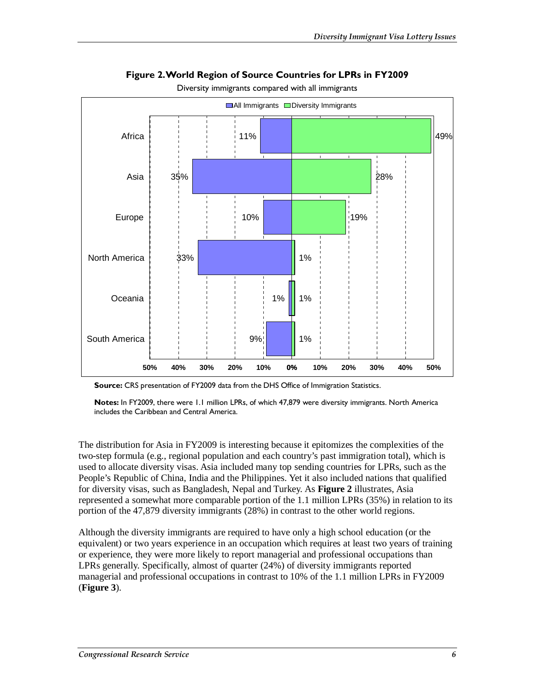

**Figure 2. World Region of Source Countries for LPRs in FY2009** 

Diversity immigrants compared with all immigrants

**Notes:** In FY2009, there were 1.1 million LPRs, of which 47,879 were diversity immigrants. North America includes the Caribbean and Central America.

The distribution for Asia in FY2009 is interesting because it epitomizes the complexities of the two-step formula (e.g., regional population and each country's past immigration total), which is used to allocate diversity visas. Asia included many top sending countries for LPRs, such as the People's Republic of China, India and the Philippines. Yet it also included nations that qualified for diversity visas, such as Bangladesh, Nepal and Turkey. As **Figure 2** illustrates, Asia represented a somewhat more comparable portion of the 1.1 million LPRs (35%) in relation to its portion of the 47,879 diversity immigrants (28%) in contrast to the other world regions.

Although the diversity immigrants are required to have only a high school education (or the equivalent) or two years experience in an occupation which requires at least two years of training or experience, they were more likely to report managerial and professional occupations than LPRs generally. Specifically, almost of quarter (24%) of diversity immigrants reported managerial and professional occupations in contrast to 10% of the 1.1 million LPRs in FY2009 (**Figure 3**).

**Source:** CRS presentation of FY2009 data from the DHS Office of Immigration Statistics.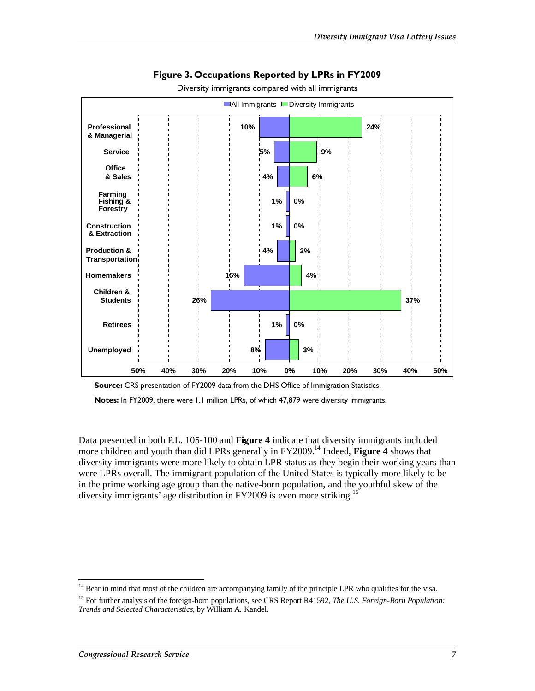

#### **Figure 3. Occupations Reported by LPRs in FY2009**

Diversity immigrants compared with all immigrants

**Source:** CRS presentation of FY2009 data from the DHS Office of Immigration Statistics.

**Notes:** In FY2009, there were 1.1 million LPRs, of which 47,879 were diversity immigrants.

Data presented in both P.L. 105-100 and **Figure 4** indicate that diversity immigrants included more children and youth than did LPRs generally in FY2009.<sup>14</sup> Indeed, Figure 4 shows that diversity immigrants were more likely to obtain LPR status as they begin their working years than were LPRs overall. The immigrant population of the United States is typically more likely to be in the prime working age group than the native-born population, and the youthful skew of the diversity immigrants' age distribution in FY2009 is even more striking.<sup>15</sup>

<sup>-</sup><sup>14</sup> Bear in mind that most of the children are accompanying family of the principle LPR who qualifies for the visa.

<sup>15</sup> For further analysis of the foreign-born populations, see CRS Report R41592, *The U.S. Foreign-Born Population: Trends and Selected Characteristics*, by William A. Kandel.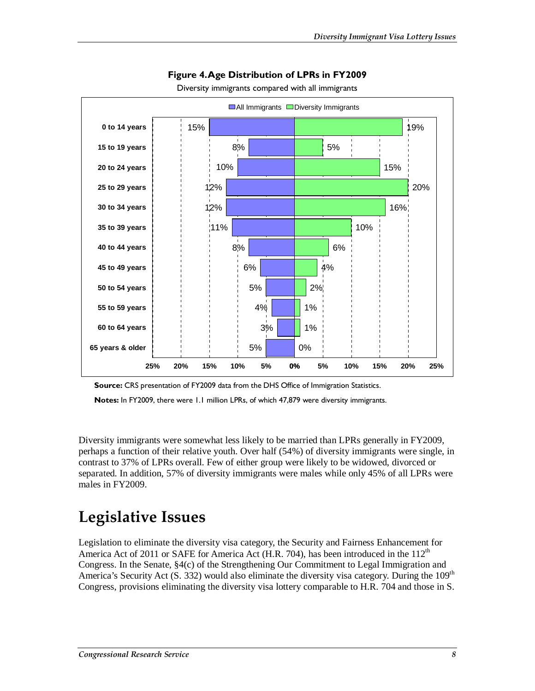

#### **Figure 4. Age Distribution of LPRs in FY2009**

Diversity immigrants compared with all immigrants

**Source:** CRS presentation of FY2009 data from the DHS Office of Immigration Statistics.

**Notes:** In FY2009, there were 1.1 million LPRs, of which 47,879 were diversity immigrants.

Diversity immigrants were somewhat less likely to be married than LPRs generally in FY2009, perhaps a function of their relative youth. Over half (54%) of diversity immigrants were single, in contrast to 37% of LPRs overall. Few of either group were likely to be widowed, divorced or separated. In addition, 57% of diversity immigrants were males while only 45% of all LPRs were males in FY2009.

## **Legislative Issues**

Legislation to eliminate the diversity visa category, the Security and Fairness Enhancement for America Act of 2011 or SAFE for America Act (H.R. 704), has been introduced in the  $112<sup>th</sup>$ Congress. In the Senate, §4(c) of the Strengthening Our Commitment to Legal Immigration and America's Security Act (S. 332) would also eliminate the diversity visa category. During the 109<sup>th</sup> Congress, provisions eliminating the diversity visa lottery comparable to H.R. 704 and those in S.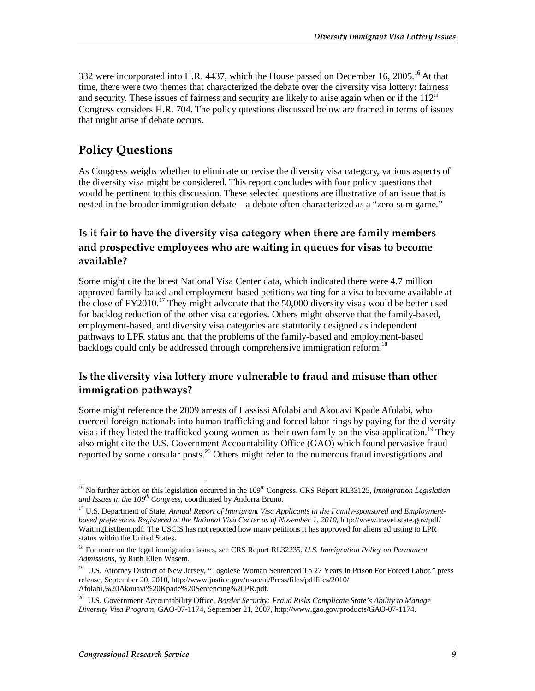332 were incorporated into H.R. 4437, which the House passed on December 16, 2005.<sup>16</sup> At that time, there were two themes that characterized the debate over the diversity visa lottery: fairness and security. These issues of fairness and security are likely to arise again when or if the  $112<sup>th</sup>$ Congress considers H.R. 704. The policy questions discussed below are framed in terms of issues that might arise if debate occurs.

### **Policy Questions**

As Congress weighs whether to eliminate or revise the diversity visa category, various aspects of the diversity visa might be considered. This report concludes with four policy questions that would be pertinent to this discussion. These selected questions are illustrative of an issue that is nested in the broader immigration debate—a debate often characterized as a "zero-sum game."

### **Is it fair to have the diversity visa category when there are family members and prospective employees who are waiting in queues for visas to become available?**

Some might cite the latest National Visa Center data, which indicated there were 4.7 million approved family-based and employment-based petitions waiting for a visa to become available at the close of  $FY2010<sup>17</sup>$  They might advocate that the 50,000 diversity visas would be better used for backlog reduction of the other visa categories. Others might observe that the family-based, employment-based, and diversity visa categories are statutorily designed as independent pathways to LPR status and that the problems of the family-based and employment-based backlogs could only be addressed through comprehensive immigration reform.<sup>18</sup>

### **Is the diversity visa lottery more vulnerable to fraud and misuse than other immigration pathways?**

Some might reference the 2009 arrests of Lassissi Afolabi and Akouavi Kpade Afolabi, who coerced foreign nationals into human trafficking and forced labor rings by paying for the diversity visas if they listed the trafficked young women as their own family on the visa application.<sup>19</sup> They also might cite the U.S. Government Accountability Office (GAO) which found pervasive fraud reported by some consular posts.<sup>20</sup> Others might refer to the numerous fraud investigations and

<sup>-</sup><sup>16</sup> No further action on this legislation occurred in the 109<sup>th</sup> Congress. CRS Report RL33125, *Immigration Legislation* and Issues in the 109<sup>th</sup> Congress, coordinated by Andorra Bruno.

<sup>&</sup>lt;sup>17</sup> U.S. Department of State, *Annual Report of Immigrant Visa Applicants in the Family-sponsored and Employmentbased preferences Registered at the National Visa Center as of November 1, 2010*, http://www.travel.state.gov/pdf/ WaitingListItem.pdf. The USCIS has not reported how many petitions it has approved for aliens adjusting to LPR status within the United States.

<sup>18</sup> For more on the legal immigration issues, see CRS Report RL32235, *U.S. Immigration Policy on Permanent Admissions*, by Ruth Ellen Wasem.

<sup>&</sup>lt;sup>19</sup> U.S. Attorney District of New Jersey, "Togolese Woman Sentenced To 27 Years In Prison For Forced Labor," press release, September 20, 2010, http://www.justice.gov/usao/nj/Press/files/pdffiles/2010/ Afolabi,%20Akouavi%20Kpade%20Sentencing%20PR.pdf.

<sup>20</sup> U.S. Government Accountability Office, *Border Security: Fraud Risks Complicate State's Ability to Manage Diversity Visa Program*, GAO-07-1174, September 21, 2007, http://www.gao.gov/products/GAO-07-1174.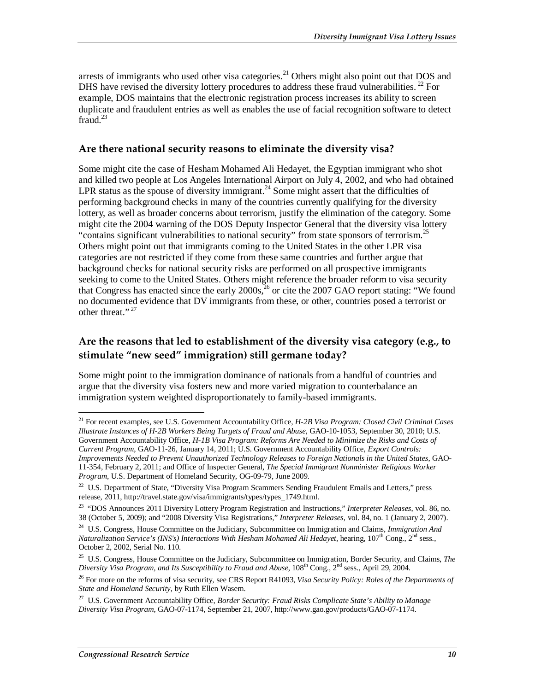arrests of immigrants who used other visa categories.<sup>21</sup> Others might also point out that DOS and DHS have revised the diversity lottery procedures to address these fraud vulnerabilities.  $^{22}$  For example, DOS maintains that the electronic registration process increases its ability to screen duplicate and fraudulent entries as well as enables the use of facial recognition software to detect fraud. $^{23}$ 

#### **Are there national security reasons to eliminate the diversity visa?**

Some might cite the case of Hesham Mohamed Ali Hedayet, the Egyptian immigrant who shot and killed two people at Los Angeles International Airport on July 4, 2002, and who had obtained LPR status as the spouse of diversity immigrant.<sup>24</sup> Some might assert that the difficulties of performing background checks in many of the countries currently qualifying for the diversity lottery, as well as broader concerns about terrorism, justify the elimination of the category. Some might cite the 2004 warning of the DOS Deputy Inspector General that the diversity visa lottery "contains significant vulnerabilities to national security" from state sponsors of terrorism.<sup>25</sup> Others might point out that immigrants coming to the United States in the other LPR visa categories are not restricted if they come from these same countries and further argue that background checks for national security risks are performed on all prospective immigrants seeking to come to the United States. Others might reference the broader reform to visa security that Congress has enacted since the early  $2000s<sup>26</sup>$  or cite the 2007 GAO report stating: "We found no documented evidence that DV immigrants from these, or other, countries posed a terrorist or other threat."<sup>27</sup>

### **Are the reasons that led to establishment of the diversity visa category (e.g., to stimulate "new seed" immigration) still germane today?**

Some might point to the immigration dominance of nationals from a handful of countries and argue that the diversity visa fosters new and more varied migration to counterbalance an immigration system weighted disproportionately to family-based immigrants.

<sup>-</sup>21 For recent examples, see U.S. Government Accountability Office, *H-2B Visa Program: Closed Civil Criminal Cases Illustrate Instances of H-2B Workers Being Targets of Fraud and Abuse*, GAO-10-1053, September 30, 2010; U.S. Government Accountability Office, *H-1B Visa Program: Reforms Are Needed to Minimize the Risks and Costs of Current Program*, GAO-11-26, January 14, 2011; U.S. Government Accountability Office, *Export Controls: Improvements Needed to Prevent Unauthorized Technology Releases to Foreign Nationals in the United States*, GAO-11-354, February 2, 2011; and Office of Inspecter General, *The Special Immigrant Nonminister Religious Worker Program*, U.S. Department of Homeland Security, OG-09-79, June 2009.

<sup>&</sup>lt;sup>22</sup> U.S. Department of State, "Diversity Visa Program Scammers Sending Fraudulent Emails and Letters," press release, 2011, http://travel.state.gov/visa/immigrants/types/types\_1749.html.

<sup>23 &</sup>quot;DOS Announces 2011 Diversity Lottery Program Registration and Instructions," *Interpreter Releases*, vol. 86, no. 38 (October 5, 2009); and "2008 Diversity Visa Registrations," *Interpreter Releases*, vol. 84, no. 1 (January 2, 2007).

<sup>24</sup> U.S. Congress, House Committee on the Judiciary, Subcommittee on Immigration and Claims, *Immigration And Naturalization Service's (INS's) Interactions With Hesham Mohamed Ali Hedayet*, hearing, 107<sup>th</sup> Cong., 2<sup>nd</sup> sess., October 2, 2002, Serial No. 110.

<sup>25</sup> U.S. Congress, House Committee on the Judiciary, Subcommittee on Immigration, Border Security, and Claims, *The Diversity Visa Program, and Its Susceptibility to Fraud and Abuse*, 108th Cong., 2nd sess., April 29, 2004.

<sup>26</sup> For more on the reforms of visa security, see CRS Report R41093, *Visa Security Policy: Roles of the Departments of State and Homeland Security*, by Ruth Ellen Wasem.

<sup>27</sup> U.S. Government Accountability Office, *Border Security: Fraud Risks Complicate State's Ability to Manage Diversity Visa Program*, GAO-07-1174, September 21, 2007, http://www.gao.gov/products/GAO-07-1174.